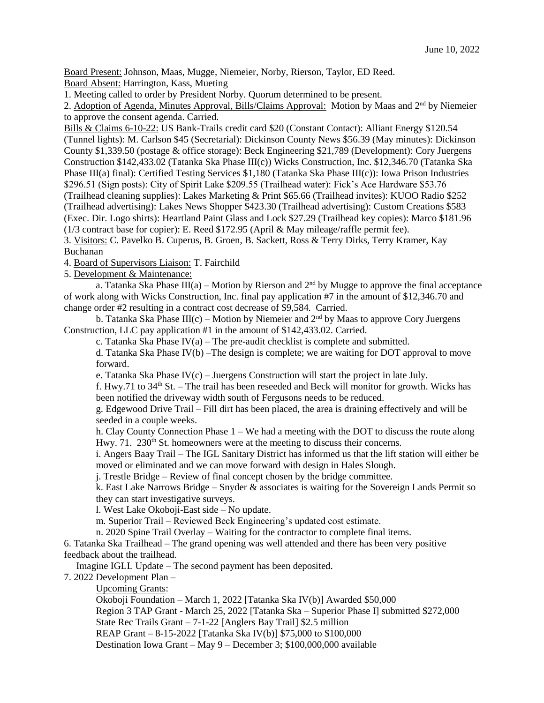Board Present: Johnson, Maas, Mugge, Niemeier, Norby, Rierson, Taylor, ED Reed. Board Absent: Harrington, Kass, Mueting

1. Meeting called to order by President Norby. Quorum determined to be present.

2. Adoption of Agenda, Minutes Approval, Bills/Claims Approval: Motion by Maas and 2<sup>nd</sup> by Niemeier to approve the consent agenda. Carried.

Bills & Claims 6-10-22: US Bank-Trails credit card \$20 (Constant Contact): Alliant Energy \$120.54 (Tunnel lights): M. Carlson \$45 (Secretarial): Dickinson County News \$56.39 (May minutes): Dickinson County \$1,339.50 (postage & office storage): Beck Engineering \$21,789 (Development): Cory Juergens Construction \$142,433.02 (Tatanka Ska Phase III(c)) Wicks Construction, Inc. \$12,346.70 (Tatanka Ska Phase III(a) final): Certified Testing Services \$1,180 (Tatanka Ska Phase III(c)): Iowa Prison Industries \$296.51 (Sign posts): City of Spirit Lake \$209.55 (Trailhead water): Fick's Ace Hardware \$53.76 (Trailhead cleaning supplies): Lakes Marketing & Print \$65.66 (Trailhead invites): KUOO Radio \$252 (Trailhead advertising): Lakes News Shopper \$423.30 (Trailhead advertising): Custom Creations \$583 (Exec. Dir. Logo shirts): Heartland Paint Glass and Lock \$27.29 (Trailhead key copies): Marco \$181.96 (1/3 contract base for copier): E. Reed \$172.95 (April & May mileage/raffle permit fee).

3. Visitors: C. Pavelko B. Cuperus, B. Groen, B. Sackett, Ross & Terry Dirks, Terry Kramer, Kay Buchanan

4. Board of Supervisors Liaison: T. Fairchild

5. Development & Maintenance:

a. Tatanka Ska Phase III(a) – Motion by Rierson and  $2<sup>nd</sup>$  by Mugge to approve the final acceptance of work along with Wicks Construction, Inc. final pay application #7 in the amount of \$12,346.70 and change order #2 resulting in a contract cost decrease of \$9,584. Carried.

b. Tatanka Ska Phase III(c) – Motion by Niemeier and  $2<sup>nd</sup>$  by Maas to approve Cory Juergens Construction, LLC pay application #1 in the amount of \$142,433.02. Carried.

c. Tatanka Ska Phase IV(a) – The pre-audit checklist is complete and submitted.

d. Tatanka Ska Phase IV(b) –The design is complete; we are waiting for DOT approval to move forward.

e. Tatanka Ska Phase IV(c) – Juergens Construction will start the project in late July.

f. Hwy.71 to  $34<sup>th</sup>$  St. – The trail has been reseeded and Beck will monitor for growth. Wicks has been notified the driveway width south of Fergusons needs to be reduced.

g. Edgewood Drive Trail – Fill dirt has been placed, the area is draining effectively and will be seeded in a couple weeks.

h. Clay County Connection Phase 1 – We had a meeting with the DOT to discuss the route along Hwy. 71. 230<sup>th</sup> St. homeowners were at the meeting to discuss their concerns.

i. Angers Baay Trail – The IGL Sanitary District has informed us that the lift station will either be moved or eliminated and we can move forward with design in Hales Slough.

j. Trestle Bridge – Review of final concept chosen by the bridge committee.

k. East Lake Narrows Bridge – Snyder & associates is waiting for the Sovereign Lands Permit so they can start investigative surveys.

l. West Lake Okoboji-East side – No update.

m. Superior Trail – Reviewed Beck Engineering's updated cost estimate.

n. 2020 Spine Trail Overlay – Waiting for the contractor to complete final items.

6. Tatanka Ska Trailhead – The grand opening was well attended and there has been very positive feedback about the trailhead.

Imagine IGLL Update – The second payment has been deposited.

7. 2022 Development Plan –

Upcoming Grants:

Okoboji Foundation – March 1, 2022 [Tatanka Ska IV(b)] Awarded \$50,000

Region 3 TAP Grant - March 25, 2022 [Tatanka Ska – Superior Phase I] submitted \$272,000

State Rec Trails Grant – 7-1-22 [Anglers Bay Trail] \$2.5 million

REAP Grant – 8-15-2022 [Tatanka Ska IV(b)] \$75,000 to \$100,000

Destination Iowa Grant – May 9 – December 3; \$100,000,000 available